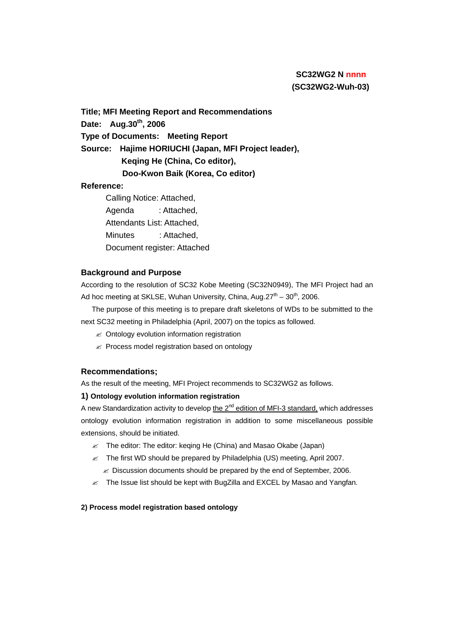## **SC32WG2 N nnnn (SC32WG2-Wuh-03)**

**Title; MFI Meeting Report and Recommendations Date: Aug.30th, 2006 Type of Documents: Meeting Report Source: Hajime HORIUCHI (Japan, MFI Project leader), Keqing He (China, Co editor), Doo-Kwon Baik (Korea, Co editor) Reference:**

# Calling Notice: Attached, Agenda : Attached, Attendants List: Attached, Minutes : Attached, Document register: Attached

## **Background and Purpose**

According to the resolution of SC32 Kobe Meeting (SC32N0949), The MFI Project had an Ad hoc meeting at SKLSE, Wuhan University, China, Aug.27<sup>th</sup> – 30<sup>th</sup>, 2006.

The purpose of this meeting is to prepare draft skeletons of WDs to be submitted to the next SC32 meeting in Philadelphia (April, 2007) on the topics as followed.

- $\mathscr{A}$  Ontology evolution information registration
- $\mathscr{A}$  Process model registration based on ontology

## **Recommendations;**

As the result of the meeting, MFI Project recommends to SC32WG2 as follows.

#### **1) Ontology evolution information registration**

A new Standardization activity to develop the 2<sup>nd</sup> edition of MFI-3 standard, which addresses ontology evolution information registration in addition to some miscellaneous possible extensions, should be initiated.

- $\ll$  The editor: The editor: keqing He (China) and Masao Okabe (Japan)
- $\leq$  The first WD should be prepared by Philadelphia (US) meeting, April 2007.
	- $\mathbb Z$  Discussion documents should be prepared by the end of September, 2006.
- $\ll$  The Issue list should be kept with BugZilla and EXCEL by Masao and Yangfan.

#### **2) Process model registration based ontology**